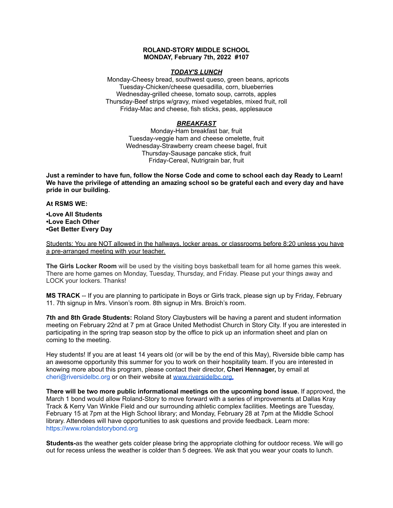## **ROLAND-STORY MIDDLE SCHOOL MONDAY, February 7th, 2022 #107**

### *TODAY'S LUNCH*

Monday-Cheesy bread, southwest queso, green beans, apricots Tuesday-Chicken/cheese quesadilla, corn, blueberries Wednesday-grilled cheese, tomato soup, carrots, apples Thursday-Beef strips w/gravy, mixed vegetables, mixed fruit, roll Friday-Mac and cheese, fish sticks, peas, applesauce

# *BREAKFAST*

Monday-Ham breakfast bar, fruit Tuesday-veggie ham and cheese omelette, fruit Wednesday-Strawberry cream cheese bagel, fruit Thursday-Sausage pancake stick, fruit Friday-Cereal, Nutrigrain bar, fruit

Just a reminder to have fun, follow the Norse Code and come to school each day Ready to Learn! **We have the privilege of attending an amazing school so be grateful each and every day and have pride in our building.**

### **At RSMS WE:**

**•Love All Students •Love Each Other •Get Better Every Day**

Students: You are NOT allowed in the hallways, locker areas, or classrooms before 8:20 unless you have a pre-arranged meeting with your teacher.

**The Girls Locker Room** will be used by the visiting boys basketball team for all home games this week. There are home games on Monday, Tuesday, Thursday, and Friday. Please put your things away and LOCK your lockers. Thanks!

**MS TRACK** -- If you are planning to participate in Boys or Girls track, please sign up by Friday, February 11. 7th signup in Mrs. Vinson's room. 8th signup in Mrs. Broich's room.

**7th and 8th Grade Students:** Roland Story Claybusters will be having a parent and student information meeting on February 22nd at 7 pm at Grace United Methodist Church in Story City. If you are interested in participating in the spring trap season stop by the office to pick up an information sheet and plan on coming to the meeting.

Hey students! If you are at least 14 years old (or will be by the end of this May), Riverside bible camp has an awesome opportunity this summer for you to work on their hospitality team. If you are interested in knowing more about this program, please contact their director, **Cheri Hennager,** by email at cheri@riversidelbc.org or on their website at [www.riversidelbc.org.](http://www.riversidelbc.org/)

**There will be two more public informational meetings on the upcoming bond issue.** If approved, the March 1 bond would allow Roland-Story to move forward with a series of improvements at Dallas Kray Track & Kerry Van Winkle Field and our surrounding athletic complex facilities. Meetings are Tuesday, February 15 at 7pm at the High School library; and Monday, February 28 at 7pm at the Middl[e](https://www.rolandstorybond.org/?fbclid=IwAR3AJHhy8S8KvQsof-Z44UTrIBXDkOZFSdMyUXMovrg0bH3FkvkTprNkFuM) School library. Attendees will have opportunities to ask questions and provide feedback. Learn more: [https://www.rolandstorybond.org](https://www.rolandstorybond.org/?fbclid=IwAR3AJHhy8S8KvQsof-Z44UTrIBXDkOZFSdMyUXMovrg0bH3FkvkTprNkFuM)

**Students-**as the weather gets colder please bring the appropriate clothing for outdoor recess. We will go out for recess unless the weather is colder than 5 degrees. We ask that you wear your coats to lunch.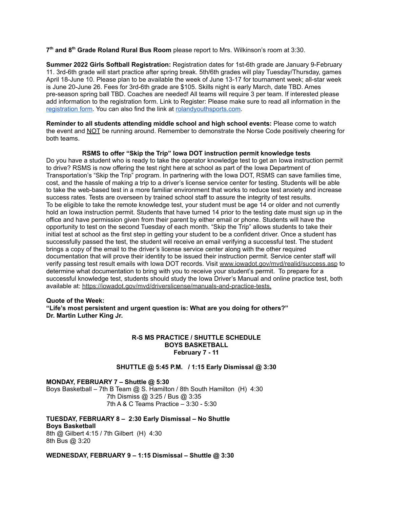**7 th and 8 th Grade Roland Rural Bus Room** please report to Mrs. Wilkinson's room at 3:30.

**Summer 2022 Girls Softball Registration:** Registration dates for 1st-6th grade are January 9-February 11. 3rd-6th grade will start practice after spring break. 5th/6th grades will play Tuesday/Thursday, games April 18-June 10. Please plan to be available the week of June 13-17 for tournament week; all-star week is June 20-June 26. Fees for 3rd-6th grade are \$105. Skills night is early March, date TBD. Ames pre-season spring ball TBD. Coaches are needed! All teams will require 3 per team. If interested please add information to the registration form. Link to Register: Please make sure to read all information in th[e](https://rolandyouthsports.com/summer-2022-softball-registration-form/) [registration](https://rolandyouthsports.com/summer-2022-softball-registration-form/) form. You can also find the link at [rolandyouthsports.com](http://rolandyouthsports.com/).

**Reminder to all students attending middle school and high school events:** Please come to watch the event and NOT be running around. Remember to demonstrate the Norse Code positively cheering for both teams.

### **RSMS to offer "Skip the Trip" Iowa DOT instruction permit knowledge tests**

Do you have a student who is ready to take the operator knowledge test to get an Iowa instruction permit to drive? RSMS is now offering the test right here at school as part of the Iowa Department of Transportation's "Skip the Trip" program. In partnering with the Iowa DOT, RSMS can save families time, cost, and the hassle of making a trip to a driver's license service center for testing. Students will be able to take the web-based test in a more familiar environment that works to reduce test anxiety and increase success rates. Tests are overseen by trained school staff to assure the integrity of test results. To be eligible to take the remote knowledge test, your student must be age 14 or older and not currently hold an Iowa instruction permit. Students that have turned 14 prior to the testing date must sign up in the office and have permission given from their parent by either email or phone. Students will have the opportunity to test on the second Tuesday of each month. "Skip the Trip" allows students to take their initial test at school as the first step in getting your student to be a confident driver. Once a student has successfully passed the test, the student will receive an email verifying a successful test. The student brings a copy of the email to the driver's license service center along with the other required documentation that will prove their identity to be issued their instruction permit. Service center staff will verify passing test result emails with Iowa DOT records. Visit [www.iowadot.gov/mvd/realid/success.asp](http://www.iowadot.gov/mvd/realid/success.asp) to determine what documentation to bring with you to receive your student's permit. To prepare for a successful knowledge test, students should study the Iowa Driver's Manual and online practice test, both available at: <https://iowadot.gov/mvd/driverslicense/manuals-and-practice-tests>.

### **Quote of the Week:**

**"Life's most persistent and urgent question is: What are you doing for others?" Dr. Martin Luther King Jr.**

# **R-S MS PRACTICE / SHUTTLE SCHEDULE BOYS BASKETBALL February 7 - 11**

# **SHUTTLE @ 5:45 P.M. / 1:15 Early Dismissal @ 3:30**

# **MONDAY, FEBRUARY 7 – Shuttle @ 5:30**

Boys Basketball – 7th B Team @ S. Hamilton / 8th South Hamilton (H) 4:30 7th Dismiss @ 3:25 / Bus @ 3:35 7th A & C Teams Practice – 3:30 - 5:30

# **TUESDAY, FEBRUARY 8 – 2:30 Early Dismissal – No Shuttle Boys Basketball**

8th @ Gilbert 4:15 / 7th Gilbert (H) 4:30 8th Bus @ 3:20

### **WEDNESDAY, FEBRUARY 9 – 1:15 Dismissal – Shuttle @ 3:30**